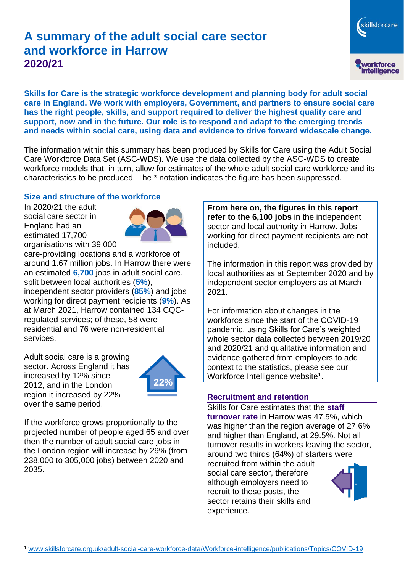# **A summary of the adult social care sector and workforce in Harrow 2020/21**

skillsforcare workforce<br>intelligence

**Skills for Care is the strategic workforce development and planning body for adult social care in England. We work with employers, Government, and partners to ensure social care has the right people, skills, and support required to deliver the highest quality care and support, now and in the future. Our role is to respond and adapt to the emerging trends and needs within social care, using data and evidence to drive forward widescale change.**

The information within this summary has been produced by Skills for Care using the Adult Social Care Workforce Data Set (ASC-WDS). We use the data collected by the ASC-WDS to create workforce models that, in turn, allow for estimates of the whole adult social care workforce and its characteristics to be produced. The \* notation indicates the figure has been suppressed.

#### **Size and structure of the workforce**

In 2020/21 the adult social care sector in England had an estimated 17,700 organisations with 39,000



care-providing locations and a workforce of around 1.67 million jobs. In Harrow there were an estimated **6,700** jobs in adult social care, split between local authorities (**5%**), independent sector providers (**85%**) and jobs working for direct payment recipients (**9%**). As at March 2021, Harrow contained 134 CQCregulated services; of these, 58 were residential and 76 were non-residential services.

Adult social care is a growing sector. Across England it has increased by 12% since 2012, and in the London region it increased by 22% over the same period.



If the workforce grows proportionally to the projected number of people aged 65 and over then the number of adult social care jobs in the London region will increase by 29% (from 238,000 to 305,000 jobs) between 2020 and 2035.

**From here on, the figures in this report refer to the 6,100 jobs** in the independent sector and local authority in Harrow. Jobs working for direct payment recipients are not included.

The information in this report was provided by local authorities as at September 2020 and by independent sector employers as at March 2021.

For information about changes in the workforce since the start of the COVID-19 pandemic, using Skills for Care's weighted whole sector data collected between 2019/20 and 2020/21 and qualitative information and evidence gathered from employers to add context to the statistics, please see our Workforce Intelligence website<sup>1</sup>.

#### **Recruitment and retention**

Skills for Care estimates that the **staff turnover rate** in Harrow was 47.5%, which was higher than the region average of 27.6% and higher than England, at 29.5%. Not all turnover results in workers leaving the sector, around two thirds (64%) of starters were recruited from within the adult social care sector, therefore although employers need to recruit to these posts, the sector retains their skills and experience.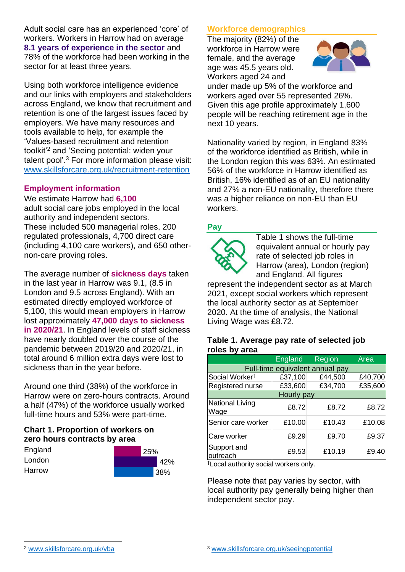Adult social care has an experienced 'core' of workers. Workers in Harrow had on average **8.1 years of experience in the sector** and 78% of the workforce had been working in the sector for at least three years.

Using both workforce intelligence evidence and our links with employers and stakeholders across England, we know that recruitment and retention is one of the largest issues faced by employers. We have many resources and tools available to help, for example the 'Values-based recruitment and retention toolkit'<sup>2</sup> and 'Seeing potential: widen your talent pool'. <sup>3</sup> For more information please visit: [www.skillsforcare.org.uk/recruitment-retention](http://www.skillsforcare.org.uk/recruitment-retention)

## **Employment information**

We estimate Harrow had **6,100** adult social care jobs employed in the local authority and independent sectors. These included 500 managerial roles, 200 regulated professionals, 4,700 direct care (including 4,100 care workers), and 650 othernon-care proving roles.

The average number of **sickness days** taken in the last year in Harrow was 9.1, (8.5 in London and 9.5 across England). With an estimated directly employed workforce of 5,100, this would mean employers in Harrow lost approximately **47,000 days to sickness in 2020/21**. In England levels of staff sickness have nearly doubled over the course of the pandemic between 2019/20 and 2020/21, in total around 6 million extra days were lost to sickness than in the year before.

Around one third (38%) of the workforce in Harrow were on zero-hours contracts. Around a half (47%) of the workforce usually worked full-time hours and 53% were part-time.

## **Chart 1. Proportion of workers on zero hours contracts by area**

| England | 25% |  |     |
|---------|-----|--|-----|
| London  |     |  | 42% |
| Harrow  |     |  | 38% |

# **Workforce demographics**

The majority (82%) of the workforce in Harrow were female, and the average age was 45.5 years old. Workers aged 24 and



under made up 5% of the workforce and workers aged over 55 represented 26%. Given this age profile approximately 1,600 people will be reaching retirement age in the next 10 years.

Nationality varied by region, in England 83% of the workforce identified as British, while in the London region this was 63%. An estimated 56% of the workforce in Harrow identified as British, 16% identified as of an EU nationality and 27% a non-EU nationality, therefore there was a higher reliance on non-EU than EU workers.

## **Pay**



Table 1 shows the full-time equivalent annual or hourly pay rate of selected job roles in Harrow (area), London (region) and England. All figures

represent the independent sector as at March 2021, except social workers which represent the local authority sector as at September 2020. At the time of analysis, the National Living Wage was £8.72.

#### **Table 1. Average pay rate of selected job roles by area**

|                                 | <b>England</b> | Region  | Area    |  |  |
|---------------------------------|----------------|---------|---------|--|--|
| Full-time equivalent annual pay |                |         |         |  |  |
| Social Worker <sup>†</sup>      | £37,100        | £44,500 | £40,700 |  |  |
| Registered nurse                | £33,600        | £34,700 | £35,600 |  |  |
| Hourly pay                      |                |         |         |  |  |
| National Living<br>Wage         | £8.72          | £8.72   | £8.72   |  |  |
| Senior care worker              | £10.00         | £10.43  | £10.08  |  |  |
| Care worker                     | £9.29          | £9.70   | £9.37   |  |  |
| Support and<br>outreach         | £9.53          | £10.19  | £9.40   |  |  |

†Local authority social workers only.

Please note that pay varies by sector, with local authority pay generally being higher than independent sector pay.